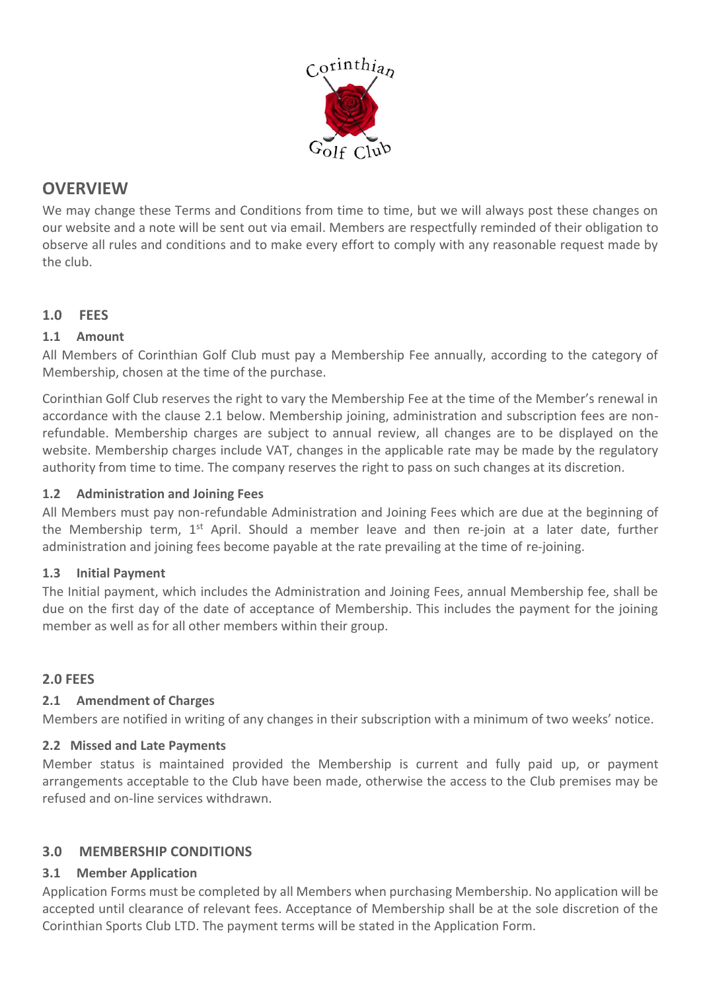

# **OVERVIEW**

We may change these Terms and Conditions from time to time, but we will always post these changes on our website and a note will be sent out via email. Members are respectfully reminded of their obligation to observe all rules and conditions and to make every effort to comply with any reasonable request made by the club.

# **1.0 FEES**

## **1.1 Amount**

All Members of Corinthian Golf Club must pay a Membership Fee annually, according to the category of Membership, chosen at the time of the purchase.

Corinthian Golf Club reserves the right to vary the Membership Fee at the time of the Member's renewal in accordance with the clause 2.1 below. Membership joining, administration and subscription fees are nonrefundable. Membership charges are subject to annual review, all changes are to be displayed on the website. Membership charges include VAT, changes in the applicable rate may be made by the regulatory authority from time to time. The company reserves the right to pass on such changes at its discretion.

### **1.2 Administration and Joining Fees**

All Members must pay non-refundable Administration and Joining Fees which are due at the beginning of the Membership term,  $1^{st}$  April. Should a member leave and then re-join at a later date, further administration and joining fees become payable at the rate prevailing at the time of re-joining.

### **1.3 Initial Payment**

The Initial payment, which includes the Administration and Joining Fees, annual Membership fee, shall be due on the first day of the date of acceptance of Membership. This includes the payment for the joining member as well as for all other members within their group.

# **2.0 FEES**

### **2.1 Amendment of Charges**

Members are notified in writing of any changes in their subscription with a minimum of two weeks' notice.

### **2.2 Missed and Late Payments**

Member status is maintained provided the Membership is current and fully paid up, or payment arrangements acceptable to the Club have been made, otherwise the access to the Club premises may be refused and on-line services withdrawn.

# **3.0 MEMBERSHIP CONDITIONS**

### **3.1 Member Application**

Application Forms must be completed by all Members when purchasing Membership. No application will be accepted until clearance of relevant fees. Acceptance of Membership shall be at the sole discretion of the Corinthian Sports Club LTD. The payment terms will be stated in the Application Form.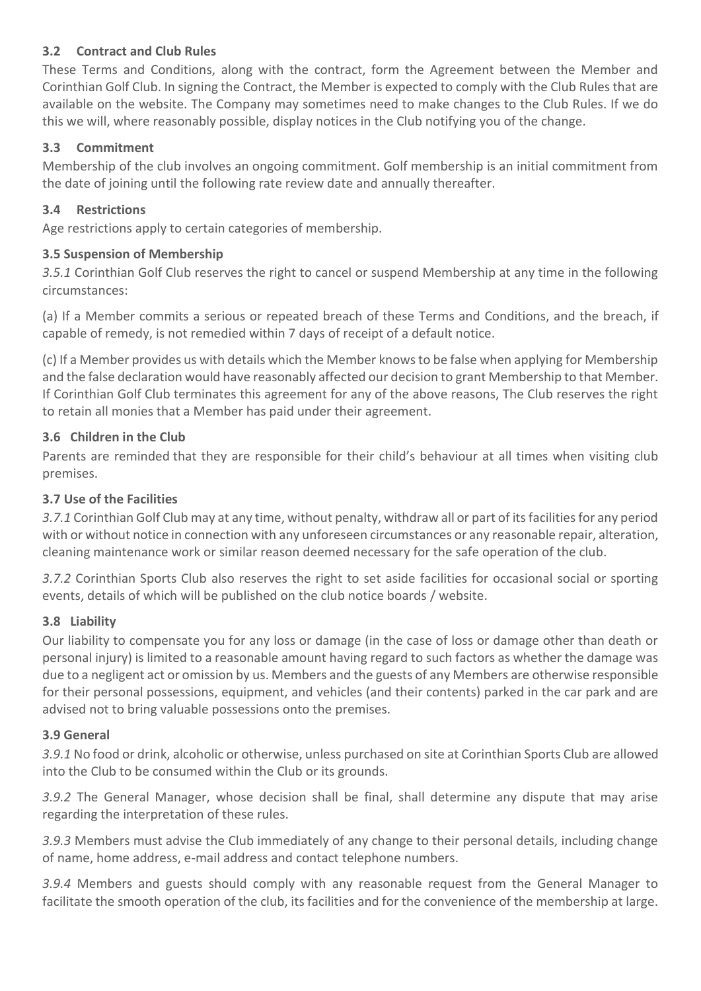## **3.2 Contract and Club Rules**

These Terms and Conditions, along with the contract, form the Agreement between the Member and Corinthian Golf Club. In signing the Contract, the Member is expected to comply with the Club Rules that are available on the website. The Company may sometimes need to make changes to the Club Rules. If we do this we will, where reasonably possible, display notices in the Club notifying you of the change.

## **3.3 Commitment**

Membership of the club involves an ongoing commitment. Golf membership is an initial commitment from the date of joining until the following rate review date and annually thereafter.

## **3.4 Restrictions**

Age restrictions apply to certain categories of membership.

## **3.5 Suspension of Membership**

*3.5.1* Corinthian Golf Club reserves the right to cancel or suspend Membership at any time in the following circumstances:

(a) If a Member commits a serious or repeated breach of these Terms and Conditions, and the breach, if capable of remedy, is not remedied within 7 days of receipt of a default notice.

(c) If a Member provides us with details which the Member knows to be false when applying for Membership and the false declaration would have reasonably affected our decision to grant Membership to that Member. If Corinthian Golf Club terminates this agreement for any of the above reasons, The Club reserves the right to retain all monies that a Member has paid under their agreement.

## **3.6 Children in the Club**

Parents are reminded that they are responsible for their child's behaviour at all times when visiting club premises.

## **3.7 Use of the Facilities**

*3.7.1* Corinthian Golf Club may at any time, without penalty, withdraw all or part of its facilities for any period with or without notice in connection with any unforeseen circumstances or any reasonable repair, alteration, cleaning maintenance work or similar reason deemed necessary for the safe operation of the club.

*3.7.2* Corinthian Sports Club also reserves the right to set aside facilities for occasional social or sporting events, details of which will be published on the club notice boards / website.

### **3.8 Liability**

Our liability to compensate you for any loss or damage (in the case of loss or damage other than death or personal injury) is limited to a reasonable amount having regard to such factors as whether the damage was due to a negligent act or omission by us. Members and the guests of any Members are otherwise responsible for their personal possessions, equipment, and vehicles (and their contents) parked in the car park and are advised not to bring valuable possessions onto the premises.

### **3.9 General**

*3.9.1* No food or drink, alcoholic or otherwise, unless purchased on site at Corinthian Sports Club are allowed into the Club to be consumed within the Club or its grounds.

*3.9.2* The General Manager, whose decision shall be final, shall determine any dispute that may arise regarding the interpretation of these rules.

*3.9.3* Members must advise the Club immediately of any change to their personal details, including change of name, home address, e-mail address and contact telephone numbers.

*3.9.4* Members and guests should comply with any reasonable request from the General Manager to facilitate the smooth operation of the club, its facilities and for the convenience of the membership at large.